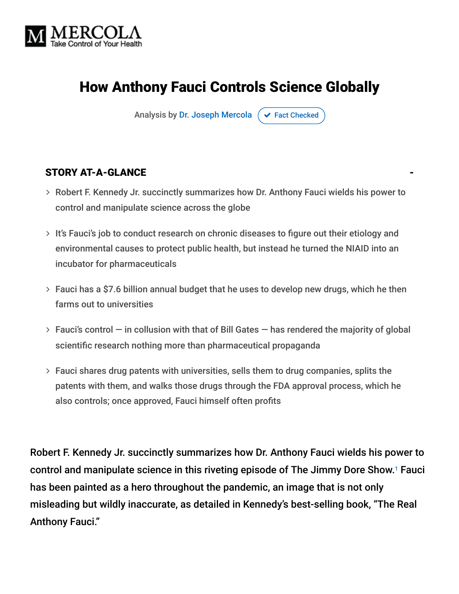

# How Anthony Fauci Controls Science Globally

Analysis by [Dr. Joseph Mercola](https://www.mercola.com/forms/background.htm)  $\sigma$  [Fact Checked](javascript:void(0))

#### STORY AT-A-GLANCE

- Robert F. Kennedy Jr. succinctly summarizes how Dr. Anthony Fauci wields his power to control and manipulate science across the globe
- $>$  It's Fauci's job to conduct research on chronic diseases to figure out their etiology and environmental causes to protect public health, but instead he turned the NIAID into an incubator for pharmaceuticals
- Fauci has a \$7.6 billion annual budget that he uses to develop new drugs, which he then farms out to universities
- $>$  Fauci's control  $-$  in collusion with that of Bill Gates  $-$  has rendered the majority of global scientific research nothing more than pharmaceutical propaganda
- Fauci shares drug patents with universities, sells them to drug companies, splits the patents with them, and walks those drugs through the FDA approval process, which he also controls; once approved, Fauci himself often profits

Robert F. Kennedy Jr. succinctly summarizes how Dr. Anthony Fauci wields his power to control and manipulate science in this riveting episode of The Jimmy Dore Show.<sup>1</sup> Fauci has been painted as a hero throughout the pandemic, an image that is not only misleading but wildly inaccurate, as detailed in Kennedy's best-selling book, "The Real Anthony Fauci."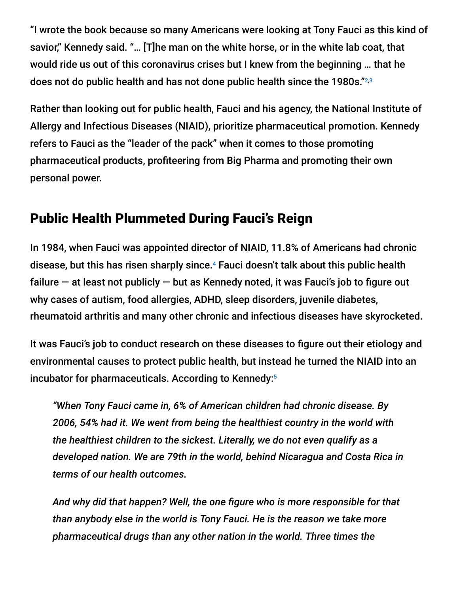"I wrote the book because so many Americans were looking at Tony Fauci as this kind of savior," Kennedy said. "… [T]he man on the white horse, or in the white lab coat, that would ride us out of this coronavirus crises but I knew from the beginning … that he does not do public health and has not done public health since the 1980s." 2,3

Rather than looking out for public health, Fauci and his agency, the National Institute of Allergy and Infectious Diseases (NIAID), prioritize pharmaceutical promotion. Kennedy refers to Fauci as the "leader of the pack" when it comes to those promoting pharmaceutical products, profiteering from Big Pharma and promoting their own personal power.

# Public Health Plummeted During Fauci's Reign

In 1984, when Fauci was appointed director of NIAID, 11.8% of Americans had chronic disease, but this has risen sharply since.<sup>4</sup> Fauci doesn't talk about this public health failure  $-$  at least not publicly  $-$  but as Kennedy noted, it was Fauci's job to figure out why cases of autism, food allergies, ADHD, sleep disorders, juvenile diabetes, rheumatoid arthritis and many other chronic and infectious diseases have skyrocketed.

It was Fauci's job to conduct research on these diseases to figure out their etiology and environmental causes to protect public health, but instead he turned the NIAID into an incubator for pharmaceuticals. According to Kennedy: 5

*"When Tony Fauci came in, 6% of American children had chronic disease. By 2006, 54% had it. We went from being the healthiest country in the world with the healthiest children to the sickest. Literally, we do not even qualify as a developed nation. We are 79th in the world, behind Nicaragua and Costa Rica in terms of our health outcomes.*

*And why did that happen? Well, the one figure who is more responsible for that than anybody else in the world is Tony Fauci. He is the reason we take more pharmaceutical drugs than any other nation in the world. Three times the*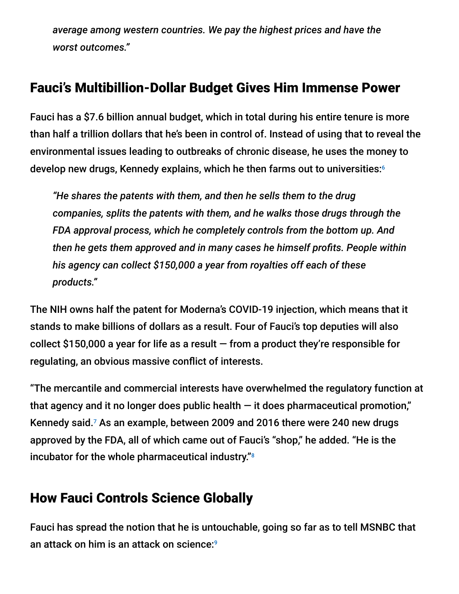*average among western countries. We pay the highest prices and have the worst outcomes."*

# Fauci's Multibillion-Dollar Budget Gives Him Immense Power

Fauci has a \$7.6 billion annual budget, which in total during his entire tenure is more than half a trillion dollars that he's been in control of. Instead of using that to reveal the environmental issues leading to outbreaks of chronic disease, he uses the money to develop new drugs, Kennedy explains, which he then farms out to universities: 6

*"He shares the patents with them, and then he sells them to the drug companies, splits the patents with them, and he walks those drugs through the FDA approval process, which he completely controls from the bottom up. And then he gets them approved and in many cases he himself profits. People within his agency can collect \$150,000 a year from royalties off each of these products."*

The NIH owns half the patent for Moderna's COVID-19 injection, which means that it stands to make billions of dollars as a result. Four of Fauci's top deputies will also collect \$150,000 a year for life as a result  $-$  from a product they're responsible for regulating, an obvious massive conflict of interests.

"The mercantile and commercial interests have overwhelmed the regulatory function at that agency and it no longer does public health  $-$  it does pharmaceutical promotion," Kennedy said.<sup>7</sup> As an example, between 2009 and 2016 there were 240 new drugs approved by the FDA, all of which came out of Fauci's "shop," he added. "He is the incubator for the whole pharmaceutical industry." 8

## How Fauci Controls Science Globally

Fauci has spread the notion that he is untouchable, going so far as to tell MSNBC that an attack on him is an attack on science: 9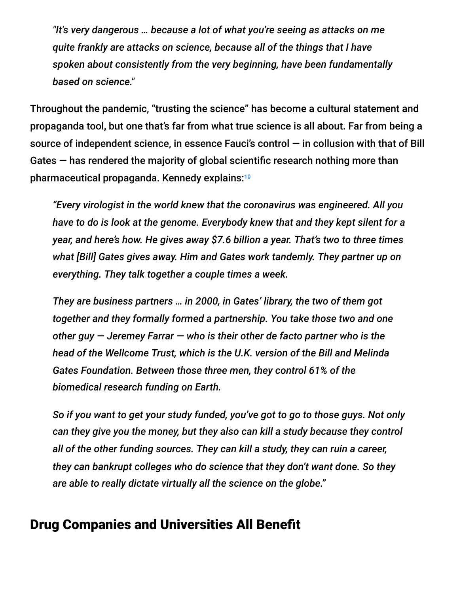*"It's very dangerous … because a lot of what you're seeing as attacks on me quite frankly are attacks on science, because all of the things that I have spoken about consistently from the very beginning, have been fundamentally based on science."*

Throughout the pandemic, "trusting the science" has become a cultural statement and propaganda tool, but one that's far from what true science is all about. Far from being a source of independent science, in essence Fauci's control — in collusion with that of Bill Gates — has rendered the majority of global scientific research nothing more than pharmaceutical propaganda. Kennedy explains: 10

*"Every virologist in the world knew that the coronavirus was engineered. All you have to do is look at the genome. Everybody knew that and they kept silent for a year, and here's how. He gives away \$7.6 billion a year. That's two to three times what [Bill] Gates gives away. Him and Gates work tandemly. They partner up on everything. They talk together a couple times a week.*

*They are business partners … in 2000, in Gates' library, the two of them got together and they formally formed a partnership. You take those two and one other guy — Jeremey Farrar — who is their other de facto partner who is the head of the Wellcome Trust, which is the U.K. version of the Bill and Melinda Gates Foundation. Between those three men, they control 61% of the biomedical research funding on Earth.*

*So if you want to get your study funded, you've got to go to those guys. Not only can they give you the money, but they also can kill a study because they control all of the other funding sources. They can kill a study, they can ruin a career, they can bankrupt colleges who do science that they don't want done. So they are able to really dictate virtually all the science on the globe."*

### Drug Companies and Universities All Benefit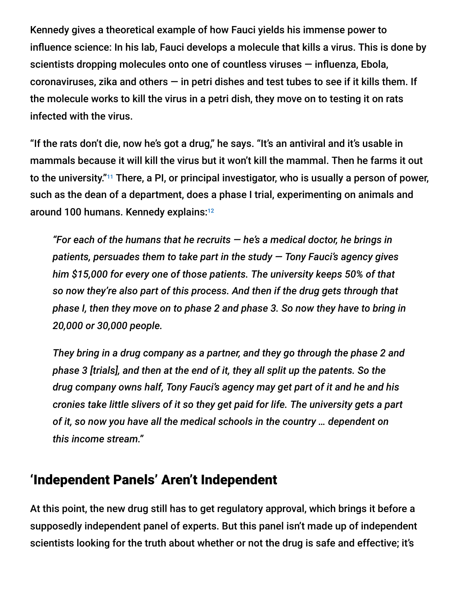Kennedy gives a theoretical example of how Fauci yields his immense power to influence science: In his lab, Fauci develops a molecule that kills a virus. This is done by scientists dropping molecules onto one of countless viruses — influenza, Ebola, coronaviruses, zika and others  $-$  in petri dishes and test tubes to see if it kills them. If the molecule works to kill the virus in a petri dish, they move on to testing it on rats infected with the virus.

"If the rats don't die, now he's got a drug," he says. "It's an antiviral and it's usable in mammals because it will kill the virus but it won't kill the mammal. Then he farms it out to the university."11 There, a PI, or principal investigator, who is usually a person of power, such as the dean of a department, does a phase I trial, experimenting on animals and around 100 humans. Kennedy explains: 12

*"For each of the humans that he recruits — he's a medical doctor, he brings in patients, persuades them to take part in the study — Tony Fauci's agency gives him \$15,000 for every one of those patients. The university keeps 50% of that so now they're also part of this process. And then if the drug gets through that phase I, then they move on to phase 2 and phase 3. So now they have to bring in 20,000 or 30,000 people.*

*They bring in a drug company as a partner, and they go through the phase 2 and phase 3 [trials], and then at the end of it, they all split up the patents. So the drug company owns half, Tony Fauci's agency may get part of it and he and his cronies take little slivers of it so they get paid for life. The university gets a part of it, so now you have all the medical schools in the country … dependent on this income stream."*

### 'Independent Panels' Aren't Independent

At this point, the new drug still has to get regulatory approval, which brings it before a supposedly independent panel of experts. But this panel isn't made up of independent scientists looking for the truth about whether or not the drug is safe and effective; it's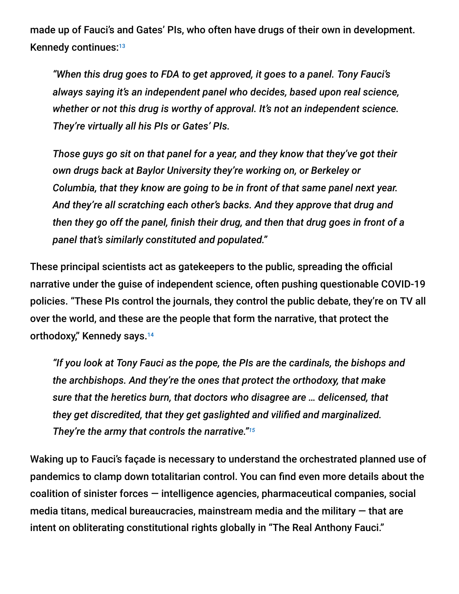made up of Fauci's and Gates' PIs, who often have drugs of their own in development. Kennedy continues: 13

*"When this drug goes to FDA to get approved, it goes to a panel. Tony Fauci's always saying it's an independent panel who decides, based upon real science, whether or not this drug is worthy of approval. It's not an independent science. They're virtually all his PIs or Gates' PIs.*

*Those guys go sit on that panel for a year, and they know that they've got their own drugs back at Baylor University they're working on, or Berkeley or Columbia, that they know are going to be in front of that same panel next year. And they're all scratching each other's backs. And they approve that drug and then they go off the panel, finish their drug, and then that drug goes in front of a panel that's similarly constituted and populated."*

These principal scientists act as gatekeepers to the public, spreading the official narrative under the guise of independent science, often pushing questionable COVID-19 policies. "These PIs control the journals, they control the public debate, they're on TV all over the world, and these are the people that form the narrative, that protect the orthodoxy," Kennedy says. 14

*"If you look at Tony Fauci as the pope, the PIs are the cardinals, the bishops and the archbishops. And they're the ones that protect the orthodoxy, that make sure that the heretics burn, that doctors who disagree are … delicensed, that they get discredited, that they get gaslighted and vilified and marginalized. They're the army that controls the narrative." 15*

Waking up to Fauci's façade is necessary to understand the orchestrated planned use of pandemics to clamp down totalitarian control. You can find even more details about the coalition of sinister forces — intelligence agencies, pharmaceutical companies, social media titans, medical bureaucracies, mainstream media and the military  $-$  that are intent on obliterating constitutional rights globally in "The Real Anthony Fauci."